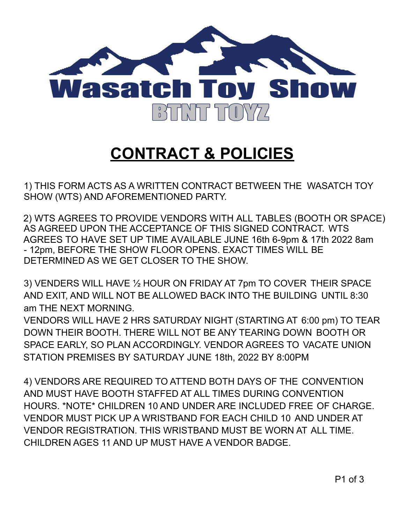

## **CONTRACT & POLICIES**

1) THIS FORM ACTS AS A WRITTEN CONTRACT BETWEEN THE WASATCH TOY SHOW (WTS) AND AFOREMENTIONED PARTY.

2) WTS AGREES TO PROVIDE VENDORS WITH ALL TABLES (BOOTH OR SPACE) AS AGREED UPON THE ACCEPTANCE OF THIS SIGNED CONTRACT. WTS AGREES TO HAVE SET UP TIME AVAILABLE JUNE 16th 6-9pm & 17th 2022 8am - 12pm, BEFORE THE SHOW FLOOR OPENS. EXACT TIMES WILL BE DETERMINED AS WE GET CLOSER TO THE SHOW.

3) VENDERS WILL HAVE ½ HOUR ON FRIDAY AT 7pm TO COVER THEIR SPACE AND EXIT, AND WILL NOT BE ALLOWED BACK INTO THE BUILDING UNTIL 8:30 am THE NEXT MORNING.

VENDORS WILL HAVE 2 HRS SATURDAY NIGHT (STARTING AT 6:00 pm) TO TEAR DOWN THEIR BOOTH. THERE WILL NOT BE ANY TEARING DOWN BOOTH OR SPACE EARLY, SO PLAN ACCORDINGLY. VENDOR AGREES TO VACATE UNION STATION PREMISES BY SATURDAY JUNE 18th, 2022 BY 8:00PM

4) VENDORS ARE REQUIRED TO ATTEND BOTH DAYS OF THE CONVENTION AND MUST HAVE BOOTH STAFFED AT ALL TIMES DURING CONVENTION HOURS. \*NOTE\* CHILDREN 10 AND UNDER ARE INCLUDED FREE OF CHARGE. VENDOR MUST PICK UP A WRISTBAND FOR EACH CHILD 10 AND UNDER AT VENDOR REGISTRATION. THIS WRISTBAND MUST BE WORN AT ALL TIME. CHILDREN AGES 11 AND UP MUST HAVE A VENDOR BADGE.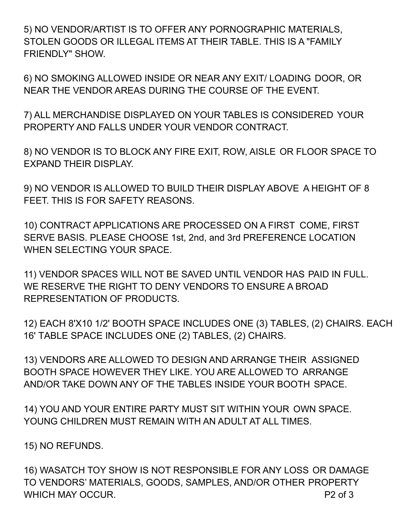5) NO VENDOR/ARTIST IS TO OFFER ANY PORNOGRAPHIC MATERIALS, STOLEN GOODS OR ILLEGAL ITEMS AT THEIR TABLE. THIS IS A "FAMILY FRIENDLY" SHOW.

6) NO SMOKING ALLOWED INSIDE OR NEAR ANY EXIT/ LOADING DOOR, OR NEAR THE VENDOR AREAS DURING THE COURSE OF THE EVENT.

7) ALL MERCHANDISE DISPLAYED ON YOUR TABLES IS CONSIDERED YOUR PROPERTY AND FALLS UNDER YOUR VENDOR CONTRACT.

8) NO VENDOR IS TO BLOCK ANY FIRE EXIT, ROW, AISLE OR FLOOR SPACE TO EXPAND THEIR DISPLAY.

9) NO VENDOR IS ALLOWED TO BUILD THEIR DISPLAY ABOVE A HEIGHT OF 8 FEET. THIS IS FOR SAFETY REASONS.

10) CONTRACT APPLICATIONS ARE PROCESSED ON A FIRST COME, FIRST SERVE BASIS. PLEASE CHOOSE 1st, 2nd, and 3rd PREFERENCE LOCATION WHEN SELECTING YOUR SPACE.

11) VENDOR SPACES WILL NOT BE SAVED UNTIL VENDOR HAS PAID IN FULL. WE RESERVE THE RIGHT TO DENY VENDORS TO ENSURE A BROAD REPRESENTATION OF PRODUCTS.

12) EACH 8'X10 1/2' BOOTH SPACE INCLUDES ONE (3) TABLES, (2) CHAIRS. EACH 16' TABLE SPACE INCLUDES ONE (2) TABLES, (2) CHAIRS.

13) VENDORS ARE ALLOWED TO DESIGN AND ARRANGE THEIR ASSIGNED BOOTH SPACE HOWEVER THEY LIKE. YOU ARE ALLOWED TO ARRANGE AND/OR TAKE DOWN ANY OF THE TABLES INSIDE YOUR BOOTH SPACE.

14) YOU AND YOUR ENTIRE PARTY MUST SIT WITHIN YOUR OWN SPACE. YOUNG CHILDREN MUST REMAIN WITH AN ADULT AT ALL TIMES.

15) NO REFUNDS.

16) WASATCH TOY SHOW IS NOT RESPONSIBLE FOR ANY LOSS OR DAMAGE TO VENDORS' MATERIALS, GOODS, SAMPLES, AND/OR OTHER PROPERTY WHICH MAY OCCUR. P2 of 3